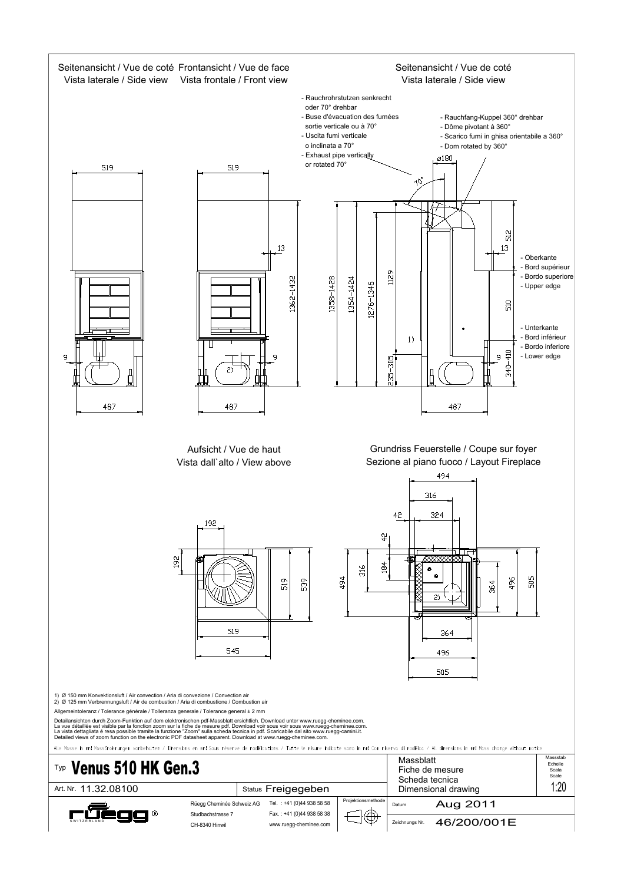